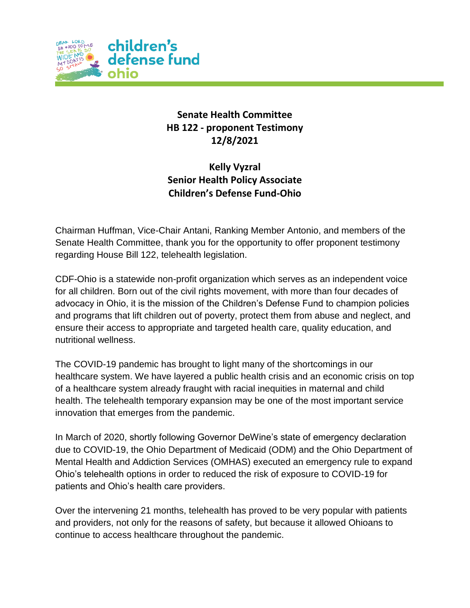

## **Senate Health Committee HB 122 - proponent Testimony 12/8/2021**

**Kelly Vyzral Senior Health Policy Associate Children's Defense Fund-Ohio**

Chairman Huffman, Vice-Chair Antani, Ranking Member Antonio, and members of the Senate Health Committee, thank you for the opportunity to offer proponent testimony regarding House Bill 122, telehealth legislation.

CDF-Ohio is a statewide non-profit organization which serves as an independent voice for all children. Born out of the civil rights movement, with more than four decades of advocacy in Ohio, it is the mission of the Children's Defense Fund to champion policies and programs that lift children out of poverty, protect them from abuse and neglect, and ensure their access to appropriate and targeted health care, quality education, and nutritional wellness.

The COVID-19 pandemic has brought to light many of the shortcomings in our healthcare system. We have layered a public health crisis and an economic crisis on top of a healthcare system already fraught with racial inequities in maternal and child health. The telehealth temporary expansion may be one of the most important service innovation that emerges from the pandemic.

In March of 2020, shortly following Governor DeWine's state of emergency declaration due to COVID-19, the Ohio Department of Medicaid (ODM) and the Ohio Department of Mental Health and Addiction Services (OMHAS) executed an emergency rule to expand Ohio's telehealth options in order to reduced the risk of exposure to COVID-19 for patients and Ohio's health care providers.

Over the intervening 21 months, telehealth has proved to be very popular with patients and providers, not only for the reasons of safety, but because it allowed Ohioans to continue to access healthcare throughout the pandemic.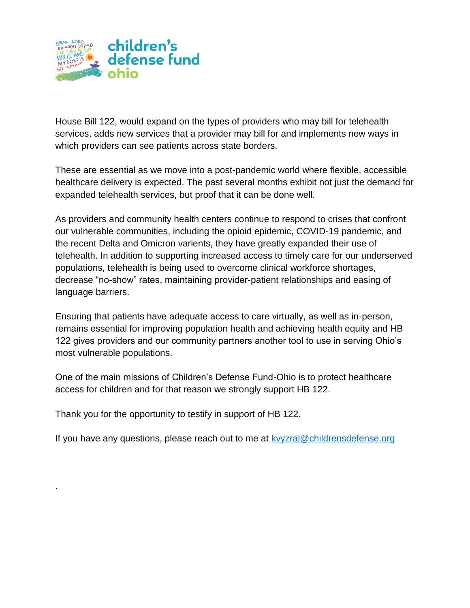

House Bill 122, would expand on the types of providers who may bill for telehealth services, adds new services that a provider may bill for and implements new ways in which providers can see patients across state borders.

These are essential as we move into a post-pandemic world where flexible, accessible healthcare delivery is expected. The past several months exhibit not just the demand for expanded telehealth services, but proof that it can be done well.

As providers and community health centers continue to respond to crises that confront our vulnerable communities, including the opioid epidemic, COVID-19 pandemic, and the recent Delta and Omicron varients, they have greatly expanded their use of telehealth. In addition to supporting increased access to timely care for our underserved populations, telehealth is being used to overcome clinical workforce shortages, decrease "no-show" rates, maintaining provider-patient relationships and easing of language barriers.

Ensuring that patients have adequate access to care virtually, as well as in-person, remains essential for improving population health and achieving health equity and HB 122 gives providers and our community partners another tool to use in serving Ohio's most vulnerable populations.

One of the main missions of Children's Defense Fund-Ohio is to protect healthcare access for children and for that reason we strongly support HB 122.

Thank you for the opportunity to testify in support of HB 122.

.

If you have any questions, please reach out to me at ky aral @childrensdefense.org